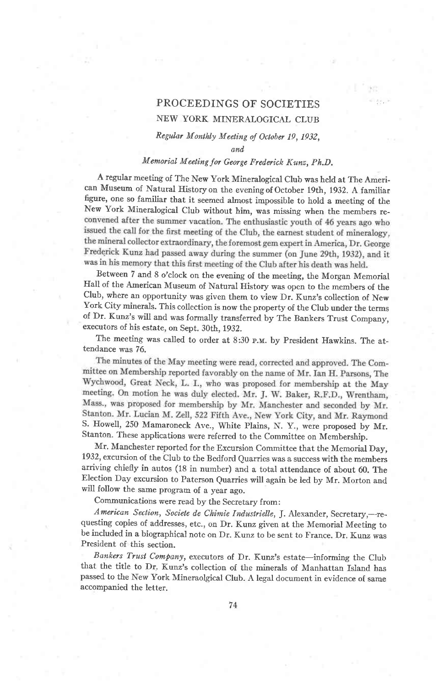# PROCEEDINGS OF SOCIETIES

## NEW YORK MINERALOGICAL CLUB

#### Regular Monthly Meeting of October 19, 1932,

and.

## Memorial Meeting for George Frederick Kunz, Ph.D.

A regular meeting of rhe New York Mineralogical club was held at The American Museum of Natural History on the evening of October 19th, 1932. A familiar figure, one so familiar that it seemed almost impossible to hold a meetine of the New York Mineralogical Club without him, was missing when the members reconvened after the summer vacation. The enthusiastic youth of 46 years ago who issued the call for the first meeting of the Club, the earnest student of mineralogy, the mineral collector extraordinary, the foremost gem expert in America, Dr. George Frederick Kunz had passed away during the summer (on June 29th, 1932), and it was in his memory that this first meeting of the Club after his death was held.

Between 7 and 8 o'clock on the evening of the meeting, the Morgan Memorial Hall of the American Museum of Natural History was open to the members of the Club, where an opportunity was given them to view Dr. Kunz's collection of New York city minerals. This collection is now the property of the club under the terms of Dr. Kunz's will and was formally transferred by The Bankers Trust Company, executors of his estate, on Sept. 30th, 1932.

The meeting was called to order at 8:30 p.m. by President Hawkins. The attendance was 76.

The minutes of the May meeting were read, corrected and approved. The Committee on Membership reported favorably on the name of Mr. Ian H. Parsons, The Wychwood, Great Neck, L. I., who was proposed for membership at the May meeting. On motion he was duly elected. Mr. J. W. Baker, R.F.D., Wrentham, Mass., was proposed for membership by Mr. Manchester and seconded by Mr. Stanton. Mr. Lucian M. Zell, 522 Fifth Ave., New York City, and Mr. Raymond<br>S. Howell, 250 Mamaroneck Ave., White Plains, N. Y., were proposed by Mr. Stanton. These applications were referred to the Committee on Membership.

Mr. Manchester reported for the Excursion Conrmittee that the Memorial Day, 1932, excursion of the Club to the Bedford Quarries was a success with the members arriving chiefly in autos (18 in number) and a total attendance of about 60. The Election Day excursion to Paterson Quarries will again be led by Mr. Morton and will follow the same program of a year ago.

Communications were read by the Secretary from:

American Section, Societe de Chimie Industrielle, J. Alexander, Secretary,---requesting copies of addresses, etc., on Dr. Kunz given at the Memorial Meeting to be included in a biographical note on Dr. Kunz to be sent to France. Dr. Kunz was President of this section.

Bankers Trust Company, executors of Dr. Kunz's estate-informing the Club that the title to Dr. Kunz's collection of the minerals of Manhattan Island has passed to the New York Mineraolgical club. A legal document in evidence of same accompanied the letter.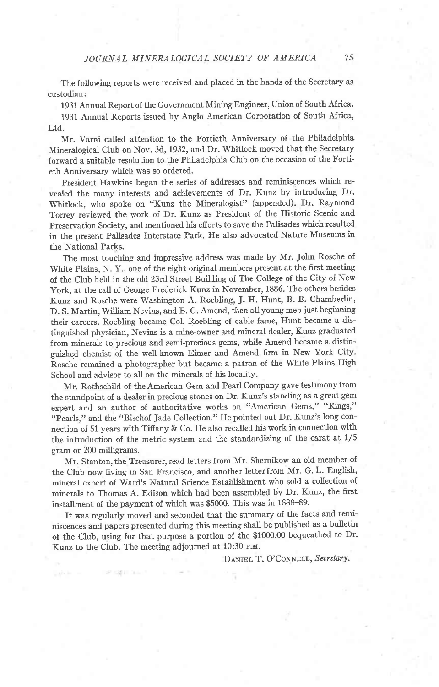The following reports were received and placed in the hands of the Secretary as custodian:

1931 Annual Report of the Government Mining Engineer, Union of South Africa'

1931 Annual Reports issued by Anglo American Corporation of South Africa, Ltd.

Mr. Varni called attention to the Fortieth Anniversary of the Philadelphia Mineralogical Club on Nov. 3d, 1932, and Dr. Whitlock moved that the Secretary forward a suitable resolution to the Philadelphia Club on the occasion of the Fortieth Anniversary which was so ordered.

President Hawkins began the series of addresses and reminiscences which revealed the many interests and achievements of Dr. Kunz by introducing Dr. Whitlock, who spoke on "Kunz the Mineralogist" (appended). Dr. Raymond Torrey reviewed the work of Dr. Kunz as President of the Historic Scenic and Preservation Society, and mentioned his efiorts to save the Palisades which resulted in the present Palisades Interstate Park. He also advocated Nature Museums in the National Parks.

The most touching and impressive address was made by Mr. John Rosche of White Plains, N. Y., one of the eight original members present at the first meeting of the Club held in the old 23rd Street Building of The College of the City of New York, at the call of George Frederick Kunz in November, 1886. The others besides Kunz and Rosche were Washington A. Roebling, J. H. Hunt, B. B. Chamberlin, D. S. Martin, William Nevins, and B. G. Amend, then all young men just beginning their careers. Roebling became Col. Roebling of cable fame, Hunt became a distinguished physician, Nevins is a mine-owner and mineral dealer, Kunz graduated from minerals to precious and semi-precious gems, while Amend became a distinguished chemist bf the well-known Eimer and Amend firm in New York City. Rosche remained a photographer but became a patron of the White Plains High School and advisor to all on the minerals of his locality.

Mr. Rothschild of the American Gem and Pearl Company gave testimonyfrom the standpoint of a dealer in precious stones on Dr. Kunz's standing as a great gem expert and an author of authoritative works on "American Gems," "Rings," "Pearls," and the "Bischof Jade Collection." He pointed out Dr. Kunz's long connection of 51 years with Tifiany & Co. He also recalled his work in connection with the introduction of the metric system and the standardizing of the carat at  $1/5$ gram or 200 milligrams.

Mr. Stanton, the Treasurer, read letters from Mr. Shernikow an old member of the Club now living in San Francisco, and another letter from Mr. G. L. English, mineral expert of ward's Natural science Establishment who sold a collection of minerals to Thomas A. Edison which had been assembled by Dr. Kunz, the first installment of the payment of which was \$5000. This was in 1888-89.

It was regularly moved and seconded that the summary of the facts and reminiscences and papers presented during this meeting shall be published as a bulletin of the CIub, using for that purpose a portion of the \$1000.00 bequeathed to Dr' Kunz to the Club. The meeting adjourned at 10:30 p.u.

DANIEL T. O'CONNELL, Secretary.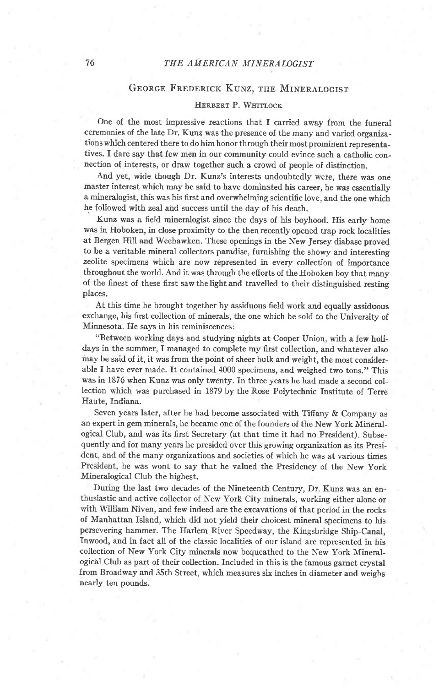## GEORGE FREDERICK KUNZ, THE MINERALOGIST

#### HERBERT P. WHITLOCK

One of the most impressive reactions that I carried away from the funeral ceremonies of the late Dr. Kunz was the presence of the many and varied organizations which centered there to do him honor through their most prominent representatives. I dare say that few men in our community could evince such a catholic connection of interests, or draw together such a crowd of people of distinction.

And yet, wide though Dr. Kunz's interests undoubtedly were, there was one master interest which may be said to have dominated his career, he was essentially a mineralogist, this was his first and overwhelming scientific love, and the one which he followed with zeal and success until the day of his death.

Kunz was a field mineralogist since the days of his boyhood. His early home was in Hoboken, in close proximity to the then recently opened trap rock localities at Bergen Hill and Weehawken. These openings in the New Jersey diabase proved to be a veritable mineral collectors paradise, furnishing the showy and interesting zeolite specimens which are now represented in every collection of importance throughout the world. And it was through the efiorts of the Hoboken boy that many of the finest of these first saw thelight and travelled to their distinguished resting places.

At this time he brought together by assiduous field work and equally assiduous exchange, his first collection of minerals, the one which he sold to the University of Minnesota. He says in his reminiscences:

"Between working days and studying nights at Cooper Union, with a few holidays in the summer, I managed to complete my first collection, and whatever also may be said of it, it was from the point of sheer bulk and weight, the most considerable I have ever made. It contained 4000 specimens, and weighed two tons." This was in 1876 when Kunz was only twenty. In three years he had made a second collection which was purchased in 1879 by the Rose Polytechnic fnstitute of Terre Haute, Indiana.

Seven years later, after he had become associated with Tiffany & Company as an expert in gem minerals, he became one of the founders of the New York Mineralogical Club, and was its first Secretary (at that time it had no President). Subsequently and for many years he presided over this growing organization as its President, and of the many organizations and societies of which he was at various times President, he was wont to say that he valued the Presidency of the New York Mineralogical Club the highest.

During the last two decades of the Nineteenth Century, Dr. Kunz was an enthusiastic and active collector of New York City minerals, working either alone or with William Niven, and few indeed are the excavations of that period in the rocks of Manhattan Island, which did not yield their choicest mineral specimens to his persevering hammer. The Harlem River Speedway, the Kingsbridge Ship-Canal, fnwood, and in fact all of the classic localities of our island are represented in his collection of New York City minerals now bequeathed to the New York Mineralogical Club as part of their collection. Included in this is the famous garnet crystal from Broadway and 35th Street, which measures six inches in diameter and weighs nearly ten pounds.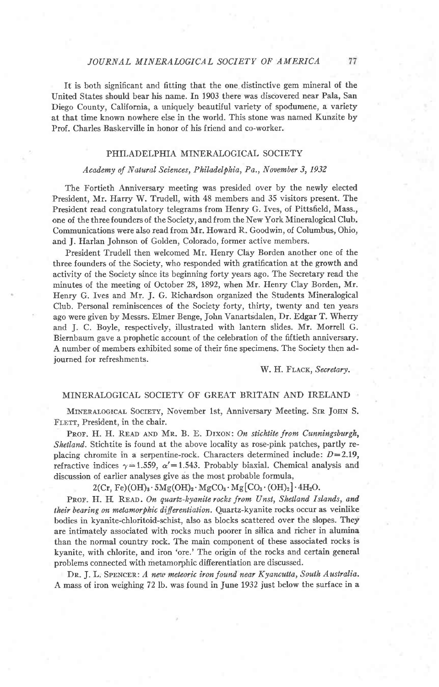#### JOURNAL MINERALOGICAL SOCIETY OF AMERICA

It is both significant and fitting that the one distinctive gem mineral of the United States should bear his name. In 1903 there was discovered near Pala, San Diego County, California, a uniquely beautiful variety of spodumene, a variety at that time known nowhere else in the world. This stone was named Kunzite by Prof. Charles Baskerville in honor of his friend and co-worker.

### PHILADELPHIA MINERALOGICAL SOCIETY

#### Academy of Natural Sciences, Philadelphia, Pa., November 3, 1932

The Fortieth Anniversary meeting was presided over by the newly elected President, Mr. Harry W. Trudell, with 48 members and 35 visitors present. The President read congratulatory telegrams from Henry G. Ives, of Pittsfield, Mass., one of the three founders of the Society, and from the New York Mineralogical Club. Communications were also read from Mr. Howard R. Goodwin, of Columbus, Ohio, and J. Harlan Johnson of Golden, Colorado, former active members.

President Trudell then welcomed Mr. Henry Clay Borden another one of the three founders of the Society, who responded with gratification at the growth anc activity of the Society since its beginning forty years ago. The Secretary read the minutes of the meeting of October 28, 1892, when Mr. Henry CIay Borden, Mr. Henry G. Ives and Mr. J. G. Richardson organized the Students Mineralogical CIub. Personal reminiscences of the Society forty, thirty, twenty and ten years ago were given by Messrs. Elmer Benge, John Vanartsdalen, Dr. Edgar T. Wherry and J. C. Boyle, respectively, illustrated with lantern slides. Mr. Morrell G. Biernbaum gave a prophetic account of the celebration of the fiftieth anniversary. A number of mernbers exhibited some of their fine specimens. The Society then adjourned for refreshments.

W. H. FLACK, Secretary.

## MINERALOGICAL SOCIETY OF GREAT BRITAIN AND IRELAND

MINERALOGICAL SOCIETY, November 1st, Anniversary Meeting. SIR JOHN S. FLETT, President, in the chair.

PROF. H. H. READ AND MR. B. E. DIXON: On stichtite from Cunningsburgh, Shetland. Stichtite is found at the above locality as rose-pink patches, partly replacing chromite in a serpentine-rock. Characters determined include:  $D=2.19$ , refractive indices  $\gamma=1.559$ ,  $\alpha'=1.543$ . Probably biaxial. Chemical analysis and discussion of earlier analyses give as the most probable formula,

## $2 (Cr, Fe) (OH)_3 \cdot 5 Mg(OH)_2 \cdot MgCO_3 \cdot Mg [CO_3 \cdot (OH)_2] \cdot 4 H_2 O.$

PROF. H. H. READ. On quartz-kyanite rocks from Unst, Shetland Islands, and their bearing on metamorphic differentiation. Quartz-kyanite rocks occur as veinlike bodies in kyanite-chloritoid-schist, also as blocks scattered over the slopes. They are intimately associated with rocks much poorer in silica and richer in alumina than the normal country rock. The main component of these associated rocks is kyanite, with chlorite, and iron'ore.'The origin of the rocks and certain general problems connected with metamorphic differentiation are discussed.

DR. J. L. SPENCER: A new meteoric iron found near Kyancutta, South Australia. A mass of iron weighing 72lb. was found in June 1932 just below the surface in a